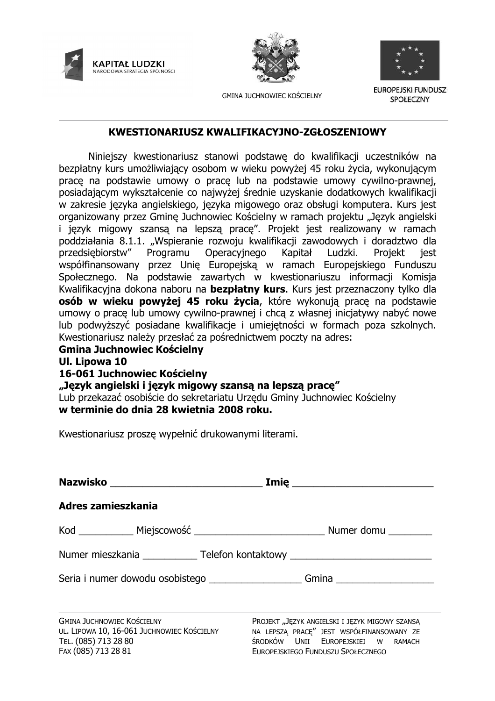



**GMINA JUCHNOWIEC KOŚCIELNY** 



EUROPEJSKI FUNDUSZ **SPOŁECZNY** 

#### KWESTIONARIUSZ KWALIFIKACYJNO-ZGŁOSZENIOWY

Niniejszy kwestionariusz stanowi podstawe do kwalifikacji uczestników na bezpłatny kurs umożliwiający osobom w wieku powyżej 45 roku życia, wykonującym prace na podstawie umowy o prace lub na podstawie umowy cywilno-prawnej, posiadającym wykształcenie co najwyżej średnie uzyskanie dodatkowych kwalifikacji w zakresie języka angielskiego, języka migowego oraz obsługi komputera. Kurs jest organizowany przez Gmine Juchnowiec Kościelny w ramach projektu "Jezyk angielski i język migowy szansą na lepszą pracę". Projekt jest realizowany w ramach poddziałania 8.1.1. "Wspieranie rozwoju kwalifikacji zawodowych i doradztwo dla Programu przedsiebiorstw" Operacyjnego Kapitał Ludzki. Projekt iest współfinansowany przez Unię Europejską w ramach Europejskiego Funduszu Społecznego. Na podstawie zawartych w kwestionariuszu informacji Komisja Kwalifikacyina dokona naboru na **bezpłatny kurs**. Kurs jest przeznaczony tylko dla osób w wieku powyżej 45 roku życia, które wykonują pracę na podstawie umowy o pracę lub umowy cywilno-prawnej i chcą z własnej inicjatywy nabyć nowe lub podwyższyć posiadane kwalifikacje i umiejętności w formach poza szkolnych. Kwestionariusz należy przesłać za pośrednictwem poczty na adres:

#### **Gmina Juchnowiec Kościelny**

#### Ul. Lipowa 10

### 16-061 Juchnowiec Kościelny

"Język angielski i język migowy szansą na lepszą pracę"

Lub przekazać osobiście do sekretariatu Urzędu Gminy Juchnowiec Kościelny w terminie do dnia 28 kwietnia 2008 roku.

Kwestionariusz prosze wypełnić drukowanymi literami.

|                                                                                 | <u>Imię __________________________</u>                                                      |
|---------------------------------------------------------------------------------|---------------------------------------------------------------------------------------------|
| Adres zamieszkania                                                              |                                                                                             |
|                                                                                 |                                                                                             |
|                                                                                 | Numer mieszkania ______________ Telefon kontaktowy _____________________________            |
|                                                                                 | Seria i numer dowodu osobistego ________________________Gmina __________________            |
|                                                                                 |                                                                                             |
| <b>GMINA JUCHNOWIEC KOŚCIELNY</b><br>UL. LIPOWA 10, 16-061 JUCHNOWIEC KOŚCIELNY | PROJEKT "JĘZYK ANGIELSKI I JĘZYK MIGOWY SZANSĄ<br>NA LEPSZĄ PRACĘ" JEST WSPÓŁFINANSOWANY ZE |
| TEL. (085) 713 28 80                                                            | środków Unii Europejskiej w ramach                                                          |
| FAX (085) 713 28 81                                                             | EUROPEJSKIEGO FUNDUSZU SPOŁECZNEGO                                                          |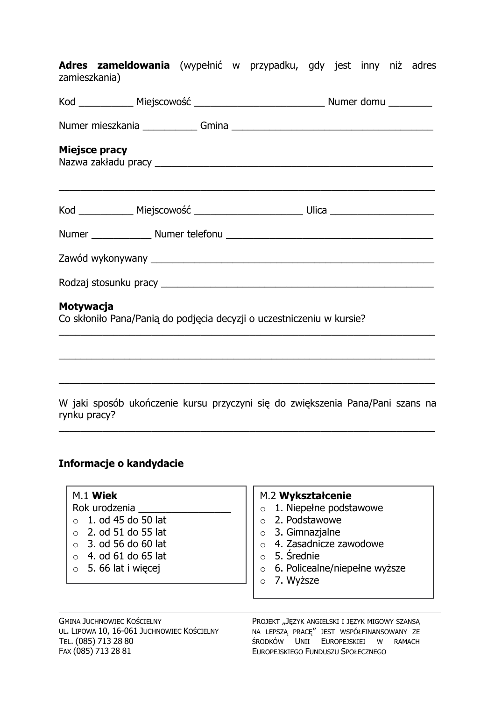Adres zameldowania (wypełnić w przypadku, gdy jest inny niż adres zamieszkania)

| <b>Miejsce pracy</b>                                                               |  |                                                                                                                                                                                                            |  |
|------------------------------------------------------------------------------------|--|------------------------------------------------------------------------------------------------------------------------------------------------------------------------------------------------------------|--|
|                                                                                    |  | Kod ____________ Miejscowość ____________________________ Ulica _______________________                                                                                                                    |  |
|                                                                                    |  |                                                                                                                                                                                                            |  |
|                                                                                    |  |                                                                                                                                                                                                            |  |
|                                                                                    |  |                                                                                                                                                                                                            |  |
| Motywacja<br>Co skłoniło Pana/Panią do podjęcia decyzji o uczestniczeniu w kursie? |  |                                                                                                                                                                                                            |  |
|                                                                                    |  | <u> 1990 - Jan James James James James James James James James James James James James James James James James Ja</u><br>,我们也不能在这里的人,我们也不能在这里的人,我们也不能在这里的人,我们也不能在这里的人,我们也不能在这里的人,我们也不能在这里的人,我们也不能在这里的人,我们也 |  |
|                                                                                    |  | W jaki sposób ukończenie kursu przyczyni się do zwiększenia Pana/Pani szans na                                                                                                                             |  |

## rynku pracy?

# Informacje o kandydacie

| $M.1$ Wiek<br>Rok urodzenia<br>1. od 45 do 50 lat<br>$\bigcap$<br>2. od 51 do 55 lat<br>3. od 56 do 60 lat<br>$\bigcap$<br>4. od 61 do 65 lat<br>$\bigcap$<br>5. 66 lat i więcej<br>$\bigcirc$ | M.2 Wykształcenie<br>1. Niepełne podstawowe<br>$\circ$<br>2. Podstawowe<br>$\bigcirc$<br>$\circ$ 3. Gimnazjalne<br>$\circ$ 4. Zasadnicze zawodowe<br>5. Srednie<br>$\bigcirc$<br>6. Policealne/niepełne wyższe<br>$\circ$<br>7. Wyższe<br>$\bigcirc$ |
|------------------------------------------------------------------------------------------------------------------------------------------------------------------------------------------------|------------------------------------------------------------------------------------------------------------------------------------------------------------------------------------------------------------------------------------------------------|
| MINA JUCHNOWIEC KOŚCIELNY                                                                                                                                                                      | PROJEKT "JĘZYK ANGIELSKI I JĘZYK MIGOWY SZANSĄ                                                                                                                                                                                                       |

G UL. LIPOWA 10, 16-061 JUCHNOWIEC KOŚCIELNY TEL. (085) 713 28 80 FAX (085) 713 28 81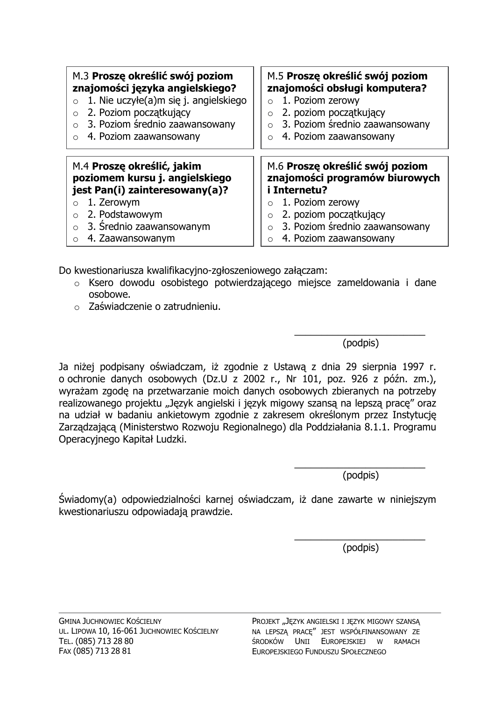| M.3 Proszę określić swój poziom       | M.5 Proszę określić swój poziom |
|---------------------------------------|---------------------------------|
| znajomości języka angielskiego?       | znajomości obsługi komputera?   |
| 1. Nie uczyłe(a)m się j. angielskiego | 1. Poziom zerowy                |
| $\circ$                               | $\circ$                         |
| 2. Poziom początkujący                | 2. poziom początkujący          |
| $\circ$                               | $\circ$                         |
| 3. Poziom średnio zaawansowany        | 3. Poziom średnio zaawansowany  |
| $\Omega$                              | $\circ$                         |
| 4. Poziom zaawansowany                | 4. Poziom zaawansowany          |
| $\Omega$                              | $\Omega$                        |
| M.4 Proszę określić, jakim            | M.6 Proszę określić swój poziom |
| poziomem kursu j. angielskiego        | znajomości programów biurowych  |
| jest Pan(i) zainteresowany(a)?        | i Internetu?                    |
| 1. Zerowym                            | 1. Poziom zerowy                |
| $\circ$                               | $\circ$                         |
| 2. Podstawowym                        | 2. poziom początkujący          |
| $\circ$                               | $\circ$                         |
| 3. Średnio zaawansowanym              | 3. Poziom średnio zaawansowany  |
| $\Omega$                              | $\circ$                         |
| 4. Zaawansowanym                      | 4. Poziom zaawansowany          |
| $\Omega$                              | $\bigcirc$                      |

Do kwestionariusza kwalifikacyjno-zgłoszeniowego załączam:

- o Ksero dowodu osobistego potwierdzającego miejsce zameldowania i dane osobowe.
- $\circ$  Zaświadczenie o zatrudnieniu.

(podpis)

Ja niżej podpisany oświadczam, iż zgodnie z Ustawą z dnia 29 sierpnia 1997 r. o ochronie danych osobowych (Dz.U z 2002 r., Nr 101, poz. 926 z późn. zm.), wyrażam zgodę na przetwarzanie moich danych osobowych zbieranych na potrzeby realizowanego projektu "Język angielski i język migowy szansą na lepszą pracę" oraz na udział w badaniu ankietowym zgodnie z zakresem określonym przez Instytucję Zarządzającą (Ministerstwo Rozwoju Regionalnego) dla Poddziałania 8.1.1. Programu Operacyjnego Kapitał Ludzki.

(podpis)

Świadomy(a) odpowiedzialności karnej oświadczam, iż dane zawarte w niniejszym kwestionariuszu odpowiadają prawdzie.

(podpis)